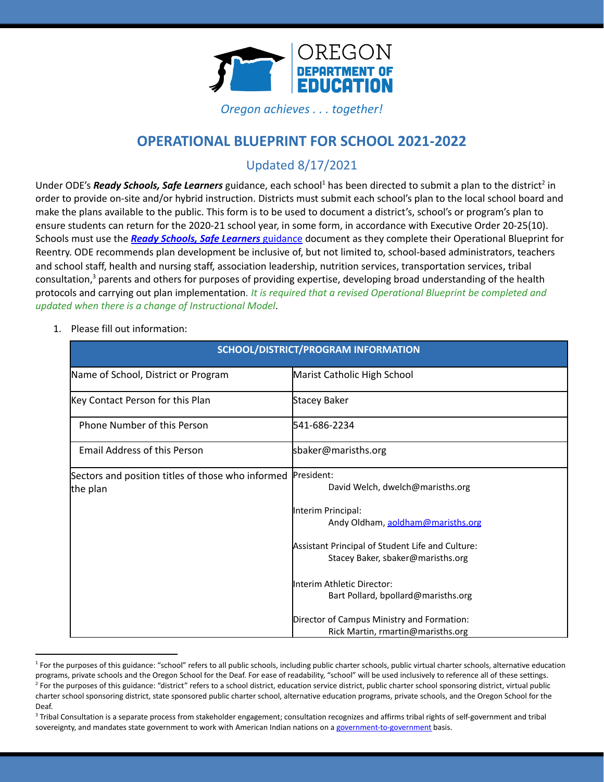

*Oregon achieves . . . together!*

# **OPERATIONAL BLUEPRINT FOR SCHOOL 2021-2022**

# Updated 8/17/2021

Under ODE's *Ready Schools, Safe Learners* guidance, each school<sup>1</sup> has been directed to submit a plan to the district<sup>2</sup> in order to provide on-site and/or hybrid instruction. Districts must submit each school's plan to the local school board and make the plans available to the public. This form is to be used to document a district's, school's or program's plan to ensure students can return for the 2020-21 school year, in some form, in accordance with Executive Order 20-25(10). Schools must use the *Ready Schools, Safe Learners* [guidance](https://www.oregon.gov/ode/students-and-family/healthsafety/Documents/Ready%20Schools%20Safe%20Learners%202020-21%20Guidance.pdf) document as they complete their Operational Blueprint for Reentry. ODE recommends plan development be inclusive of, but not limited to, school-based administrators, teachers and school staff, health and nursing staff, association leadership, nutrition services, transportation services, tribal consultation,<sup>3</sup> parents and others for purposes of providing expertise, developing broad understanding of the health protocols and carrying out plan implementation. *It is required that a revised Operational Blueprint be completed and updated when there is a change of Instructional Model*.

1. Please fill out information:

| SCHOOL/DISTRICT/PROGRAM INFORMATION                                      |                                                                                       |
|--------------------------------------------------------------------------|---------------------------------------------------------------------------------------|
| Name of School, District or Program                                      | Marist Catholic High School                                                           |
| Key Contact Person for this Plan                                         | Stacey Baker                                                                          |
| Phone Number of this Person                                              | 541-686-2234                                                                          |
| <b>Email Address of this Person</b>                                      | sbaker@marisths.org                                                                   |
| Sectors and position titles of those who informed President:<br>the plan | David Welch, dwelch@marisths.org                                                      |
|                                                                          | Interim Principal:<br>Andy Oldham, aoldham@marisths.org                               |
|                                                                          | Assistant Principal of Student Life and Culture:<br>Stacey Baker, sbaker@marisths.org |
|                                                                          | Interim Athletic Director:<br>Bart Pollard, bpollard@marisths.org                     |
|                                                                          | Director of Campus Ministry and Formation:<br>Rick Martin, rmartin@marisths.org       |

 $<sup>2</sup>$  For the purposes of this guidance: "district" refers to a school district, education service district, public charter school sponsoring district, virtual public</sup> charter school sponsoring district, state sponsored public charter school, alternative education programs, private schools, and the Oregon School for the Deaf. <sup>1</sup> For the purposes of this guidance: "school" refers to all public schools, including public charter schools, public virtual charter schools, alternative education programs, private schools and the Oregon School for the Deaf. For ease of readability, "school" will be used inclusively to reference all of these settings.

<sup>&</sup>lt;sup>3</sup> Tribal Consultation is a separate process from stakeholder engagement; consultation recognizes and affirms tribal rights of self-government and tribal sovereignty, and mandates state government to work with American Indian nations on a [government-to-government](http://www.nrc4tribes.org/files/Tab%209_9H%20Oregon%20SB770.pdf) basis.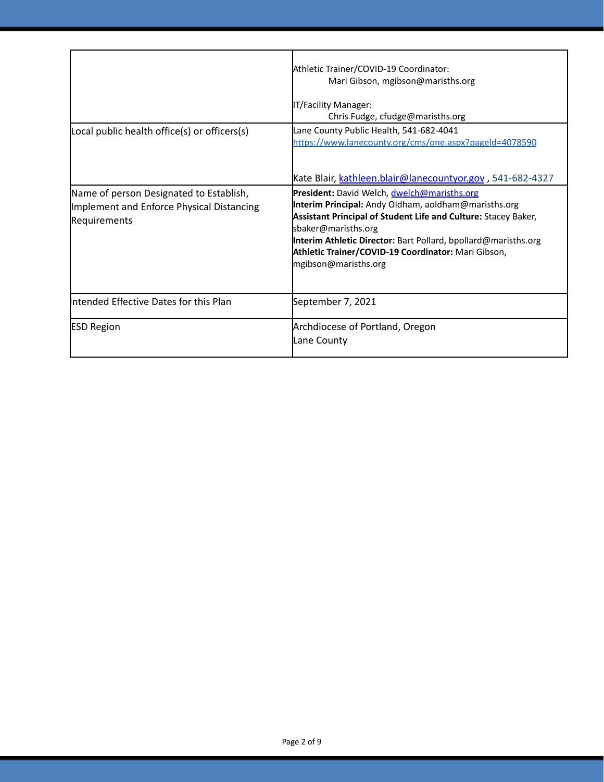|                                                                                                      | Athletic Trainer/COVID-19 Coordinator:<br>Mari Gibson, mgibson@marisths.org<br>IT/Facility Manager:<br>Chris Fudge, cfudge@marisths.org                                                                                                                                                                                                       |
|------------------------------------------------------------------------------------------------------|-----------------------------------------------------------------------------------------------------------------------------------------------------------------------------------------------------------------------------------------------------------------------------------------------------------------------------------------------|
| Local public health office(s) or officers(s)                                                         | Lane County Public Health, 541-682-4041<br>https://www.lanecounty.org/cms/one.aspx?pageId=4078590<br>Kate Blair, kathleen.blair@lanecountyor.gov, 541-682-4327                                                                                                                                                                                |
| Name of person Designated to Establish,<br>Implement and Enforce Physical Distancing<br>Requirements | President: David Welch, dwelch@marisths.org<br>Interim Principal: Andy Oldham, aoldham@marisths.org<br>Assistant Principal of Student Life and Culture: Stacey Baker,<br>sbaker@marisths.org<br>Interim Athletic Director: Bart Pollard, bpollard@marisths.org<br>Athletic Trainer/COVID-19 Coordinator: Mari Gibson,<br>mgibson@marisths.org |
| Intended Effective Dates for this Plan                                                               | September 7, 2021                                                                                                                                                                                                                                                                                                                             |
| <b>ESD Region</b>                                                                                    | Archdiocese of Portland, Oregon<br>Lane County                                                                                                                                                                                                                                                                                                |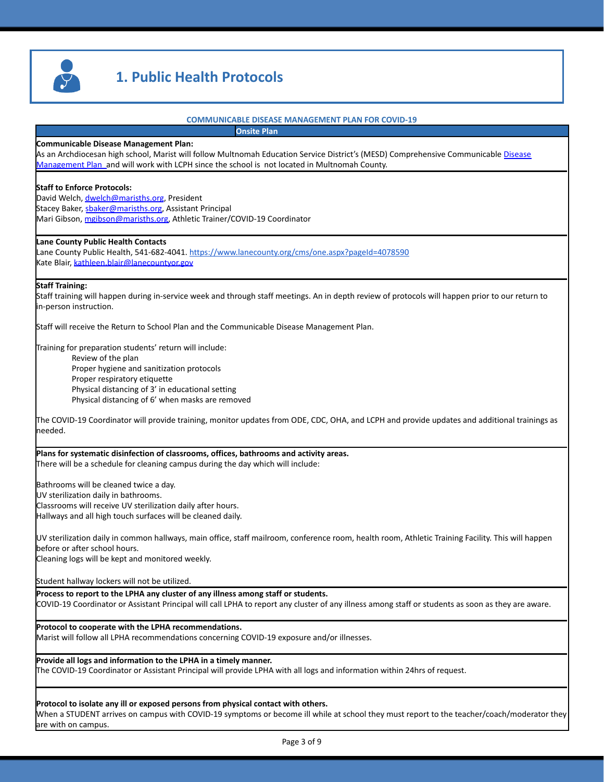

# **1. Public Health Protocols**

#### **COMMUNICABLE DISEASE MANAGEMENT PLAN FOR COVID-19**

**Onsite Plan**

#### **Communicable Disease Management Plan:**

As an Archdiocesan high school, Marist will follow Multnomah Education Service District's (MESD) Comprehensive Communicable <u>[Disease](https://www.multnomahesd.org/uploads/1/2/0/2/120251715/multnomah_education_service_district_-_comprehensive_communicable_disease_management_plan_updated_07-22-2020.pdf)</u> [Management Plan](https://www.multnomahesd.org/uploads/1/2/0/2/120251715/multnomah_education_service_district_-_comprehensive_communicable_disease_management_plan_updated_07-22-2020.pdf) and will work with LCPH since the school is not located in Multnomah County.

#### **Staff to Enforce Protocols:**

David Welch, [dwelch@marisths.org](mailto:dwelch@marisths.org), President Stacey Baker, **[sbaker@marisths.org](mailto:sbaker@marisths.org)**, Assistant Principal Mari Gibson, [mgibson@marisths.org,](mailto:mgibson@marisths.org) Athletic Trainer/COVID-19 Coordinator

#### **Lane County Public Health Contacts**

Lane County Public Health, 541-682-4041. <https://www.lanecounty.org/cms/one.aspx?pageId=4078590> Kate Blair, [kathleen.blair@lanecountyor.gov](mailto:kathleen.blair@lanecountyor.gov)

#### **Staff Training:**

Staff training will happen during in-service week and through staff meetings. An in depth review of protocols will happen prior to our return to in-person instruction.

Staff will receive the Return to School Plan and the Communicable Disease Management Plan.

Training for preparation students' return will include:

Review of the plan Proper hygiene and sanitization protocols Proper respiratory etiquette Physical distancing of 3' in educational setting Physical distancing of 6' when masks are removed

The COVID-19 Coordinator will provide training, monitor updates from ODE, CDC, OHA, and LCPH and provide updates and additional trainings as needed.

**Plans for systematic disinfection of classrooms, offices, bathrooms and activity areas.** There will be a schedule for cleaning campus during the day which will include:

Bathrooms will be cleaned twice a day.

UV sterilization daily in bathrooms.

Classrooms will receive UV sterilization daily after hours.

Hallways and all high touch surfaces will be cleaned daily.

UV sterilization daily in common hallways, main office, staff mailroom, conference room, health room, Athletic Training Facility. This will happen before or after school hours.

Cleaning logs will be kept and monitored weekly.

Student hallway lockers will not be utilized.

**Process to report to the LPHA any cluster of any illness among staff or students.** COVID-19 Coordinator or Assistant Principal will call LPHA to report any cluster of any illness among staff or students as soon as they are aware.

**Protocol to cooperate with the LPHA recommendations.**

Marist will follow all LPHA recommendations concerning COVID-19 exposure and/or illnesses.

**Provide all logs and information to the LPHA in a timely manner.**

The COVID-19 Coordinator or Assistant Principal will provide LPHA with all logs and information within 24hrs of request.

#### **Protocol to isolate any ill or exposed persons from physical contact with others.**

When a STUDENT arrives on campus with COVID-19 symptoms or become ill while at school they must report to the teacher/coach/moderator they are with on campus.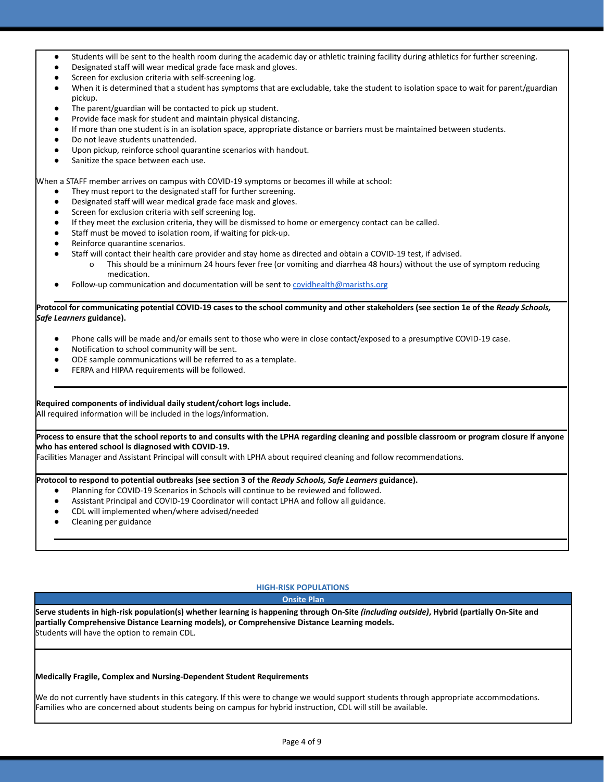- Students will be sent to the health room during the academic day or athletic training facility during athletics for further screening.
- Designated staff will wear medical grade face mask and gloves.
- Screen for exclusion criteria with self-screening log.
- When it is determined that a student has symptoms that are excludable, take the student to isolation space to wait for parent/guardian pickup.
- The parent/guardian will be contacted to pick up student.
- Provide face mask for student and maintain physical distancing.
- If more than one student is in an isolation space, appropriate distance or barriers must be maintained between students.
- Do not leave students unattended.
- Upon pickup, reinforce school quarantine scenarios with handout.
- Sanitize the space between each use.

When a STAFF member arrives on campus with COVID-19 symptoms or becomes ill while at school:

- They must report to the designated staff for further screening.
- Designated staff will wear medical grade face mask and gloves.
- Screen for exclusion criteria with self screening log.
- If they meet the exclusion criteria, they will be dismissed to home or emergency contact can be called.
- Staff must be moved to isolation room, if waiting for pick-up.
- Reinforce quarantine scenarios.
- Staff will contact their health care provider and stay home as directed and obtain a COVID-19 test, if advised.
	- o This should be a minimum 24 hours fever free (or vomiting and diarrhea 48 hours) without the use of symptom reducing medication.
- Follow-up communication and documentation will be sent to [covidhealth@marisths.org](mailto:covidhealth@marisths.org)

#### **Protocol for communicating potential COVID-19 cases to the school community and other stakeholders (see section 1e of the** *Ready Schools, Safe Learners* **guidance).**

- Phone calls will be made and/or emails sent to those who were in close contact/exposed to a presumptive COVID-19 case.
- Notification to school community will be sent.
- ODE sample communications will be referred to as a template.
- FERPA and HIPAA requirements will be followed.

#### **Required components of individual daily student/cohort logs include.**

All required information will be included in the logs/information.

#### **Process to ensure that the school reports to and consults with the LPHA regarding cleaning and possible classroom or program closure if anyone who has entered school is diagnosed with COVID-19.**

Facilities Manager and Assistant Principal will consult with LPHA about required cleaning and follow recommendations.

#### **Protocol to respond to potential outbreaks (see section 3 of the** *Ready Schools, Safe Learners* **guidance).**

- Planning for COVID-19 Scenarios in Schools will continue to be reviewed and followed.
- Assistant Principal and COVID-19 Coordinator will contact LPHA and follow all guidance.
- CDL will implemented when/where advised/needed
- Cleaning per guidance

## **HIGH-RISK POPULATIONS**

#### **Onsite Plan**

**Serve students in high-risk population(s) whether learning is happening through On-Site** *(including outside)***, Hybrid (partially On-Site and partially Comprehensive Distance Learning models), or Comprehensive Distance Learning models.** Students will have the option to remain CDL.

#### **Medically Fragile, Complex and Nursing-Dependent Student Requirements**

We do not currently have students in this category. If this were to change we would support students through appropriate accommodations. Families who are concerned about students being on campus for hybrid instruction, CDL will still be available.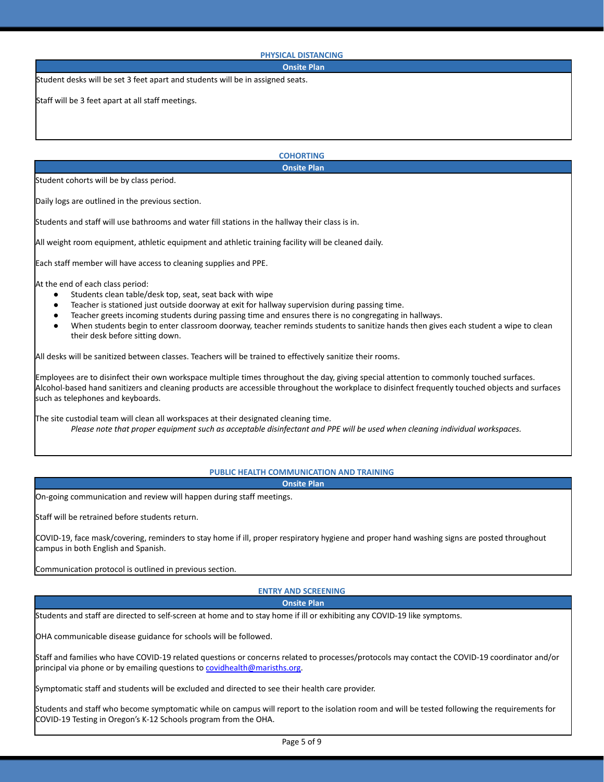#### **PHYSICAL DISTANCING**

#### **Onsite Plan**

Student desks will be set 3 feet apart and students will be in assigned seats.

Staff will be 3 feet apart at all staff meetings.

**COHORTING Onsite Plan**

Student cohorts will be by class period.

Daily logs are outlined in the previous section.

Students and staff will use bathrooms and water fill stations in the hallway their class is in.

All weight room equipment, athletic equipment and athletic training facility will be cleaned daily.

Each staff member will have access to cleaning supplies and PPE.

At the end of each class period:

- Students clean table/desk top, seat, seat back with wipe
- Teacher is stationed just outside doorway at exit for hallway supervision during passing time.
- Teacher greets incoming students during passing time and ensures there is no congregating in hallways.
- When students begin to enter classroom doorway, teacher reminds students to sanitize hands then gives each student a wipe to clean their desk before sitting down.

All desks will be sanitized between classes. Teachers will be trained to effectively sanitize their rooms.

Employees are to disinfect their own workspace multiple times throughout the day, giving special attention to commonly touched surfaces. Alcohol-based hand sanitizers and cleaning products are accessible throughout the workplace to disinfect frequently touched objects and surfaces such as telephones and keyboards.

The site custodial team will clean all workspaces at their designated cleaning time. *Please note that proper equipment such as acceptable disinfectant and PPE will be used when cleaning individual workspaces.*

# **PUBLIC HEALTH COMMUNICATION AND TRAINING**

**Onsite Plan**

On-going communication and review will happen during staff meetings.

Staff will be retrained before students return.

COVID-19, face mask/covering, reminders to stay home if ill, proper respiratory hygiene and proper hand washing signs are posted throughout campus in both English and Spanish.

Communication protocol is outlined in previous section.

## **ENTRY AND SCREENING**

#### **Onsite Plan**

Students and staff are directed to self-screen at home and to stay home if ill or exhibiting any COVID-19 like symptoms.

OHA communicable disease guidance for schools will be followed.

Staff and families who have COVID-19 related questions or concerns related to processes/protocols may contact the COVID-19 coordinator and/or principal via phone or by emailing questions to [covidhealth@marisths.org.](mailto:covidhealth@marisths.org)

Symptomatic staff and students will be excluded and directed to see their health care provider.

Students and staff who become symptomatic while on campus will report to the isolation room and will be tested following the requirements for COVID-19 Testing in Oregon's K-12 Schools program from the OHA.

Page 5 of 9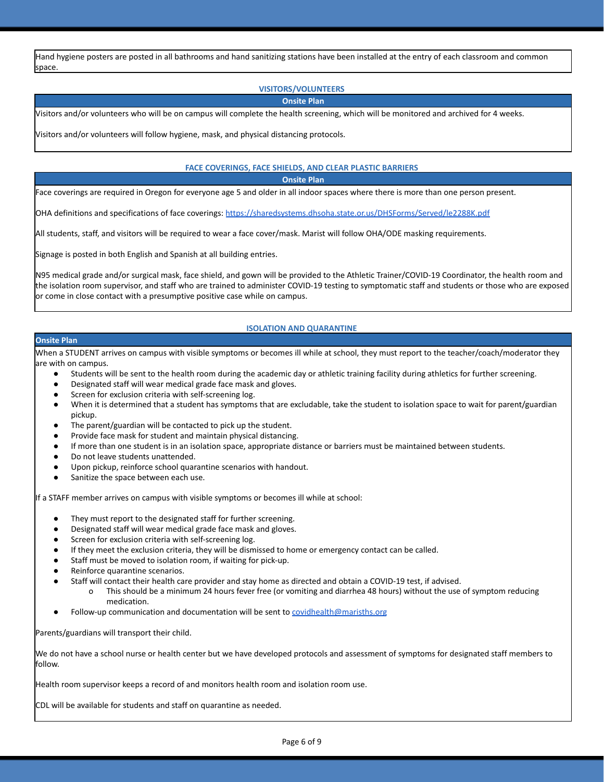Hand hygiene posters are posted in all bathrooms and hand sanitizing stations have been installed at the entry of each classroom and common space.

### **VISITORS/VOLUNTEERS**

#### **Onsite Plan**

Visitors and/or volunteers who will be on campus will complete the health screening, which will be monitored and archived for 4 weeks.

Visitors and/or volunteers will follow hygiene, mask, and physical distancing protocols.

#### **FACE COVERINGS, FACE SHIELDS, AND CLEAR PLASTIC BARRIERS**

**Onsite Plan**

Face coverings are required in Oregon for everyone age 5 and older in all indoor spaces where there is more than one person present.

OHA definitions and specifications of face coverings: <https://sharedsystems.dhsoha.state.or.us/DHSForms/Served/le2288K.pdf>

All students, staff, and visitors will be required to wear a face cover/mask. Marist will follow OHA/ODE masking requirements.

Signage is posted in both English and Spanish at all building entries.

N95 medical grade and/or surgical mask, face shield, and gown will be provided to the Athletic Trainer/COVID-19 Coordinator, the health room and the isolation room supervisor, and staff who are trained to administer COVID-19 testing to symptomatic staff and students or those who are exposed or come in close contact with a presumptive positive case while on campus.

### **ISOLATION AND QUARANTINE**

#### **Onsite Plan**

When a STUDENT arrives on campus with visible symptoms or becomes ill while at school, they must report to the teacher/coach/moderator they are with on campus.

- Students will be sent to the health room during the academic day or athletic training facility during athletics for further screening.
- Designated staff will wear medical grade face mask and gloves.
- Screen for exclusion criteria with self-screening log.
- When it is determined that a student has symptoms that are excludable, take the student to isolation space to wait for parent/guardian pickup.
- The parent/guardian will be contacted to pick up the student.
- Provide face mask for student and maintain physical distancing.
- If more than one student is in an isolation space, appropriate distance or barriers must be maintained between students.
- Do not leave students unattended.
- Upon pickup, reinforce school quarantine scenarios with handout.
- Sanitize the space between each use.

If a STAFF member arrives on campus with visible symptoms or becomes ill while at school:

- They must report to the designated staff for further screening.
- Designated staff will wear medical grade face mask and gloves.
- Screen for exclusion criteria with self-screening log.
- If they meet the exclusion criteria, they will be dismissed to home or emergency contact can be called.
- Staff must be moved to isolation room, if waiting for pick-up.
- Reinforce quarantine scenarios.
- Staff will contact their health care provider and stay home as directed and obtain a COVID-19 test, if advised.
	- o This should be a minimum 24 hours fever free (or vomiting and diarrhea 48 hours) without the use of symptom reducing medication.
- Follow-up communication and documentation will be sent to [covidhealth@marisths.org](mailto:covidhealth@marisths.org)

Parents/guardians will transport their child.

We do not have a school nurse or health center but we have developed protocols and assessment of symptoms for designated staff members to follow.

Health room supervisor keeps a record of and monitors health room and isolation room use.

CDL will be available for students and staff on quarantine as needed.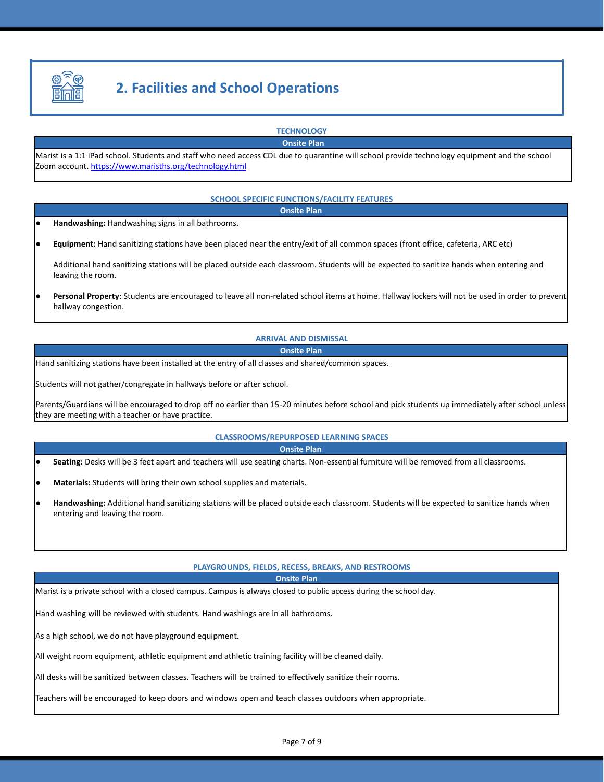

# **2. Facilities and School Operations**

**TECHNOLOGY Onsite Plan**

Marist is a 1:1 iPad school. Students and staff who need access CDL due to quarantine will school provide technology equipment and the school Zoom account. <https://www.marisths.org/technology.html>

#### **SCHOOL SPECIFIC FUNCTIONS/FACILITY FEATURES**

**Onsite Plan**

- Handwashing: Handwashing signs in all bathrooms.
- **Equipment:** Hand sanitizing stations have been placed near the entry/exit of all common spaces (front office, cafeteria, ARC etc)

Additional hand sanitizing stations will be placed outside each classroom. Students will be expected to sanitize hands when entering and leaving the room.

Personal Property: Students are encouraged to leave all non-related school items at home. Hallway lockers will not be used in order to prevent hallway congestion.

**ARRIVAL AND DISMISSAL**

#### **Onsite Plan**

Hand sanitizing stations have been installed at the entry of all classes and shared/common spaces.

Students will not gather/congregate in hallways before or after school.

Parents/Guardians will be encouraged to drop off no earlier than 15-20 minutes before school and pick students up immediately after school unless they are meeting with a teacher or have practice.

#### **CLASSROOMS/REPURPOSED LEARNING SPACES**

**Onsite Plan**

- Seating: Desks will be 3 feet apart and teachers will use seating charts. Non-essential furniture will be removed from all classrooms.
- Materials: Students will bring their own school supplies and materials.
- Handwashing: Additional hand sanitizing stations will be placed outside each classroom. Students will be expected to sanitize hands when entering and leaving the room.

#### **PLAYGROUNDS, FIELDS, RECESS, BREAKS, AND RESTROOMS**

**Onsite Plan**

Marist is a private school with a closed campus. Campus is always closed to public access during the school day.

Hand washing will be reviewed with students. Hand washings are in all bathrooms.

As a high school, we do not have playground equipment.

All weight room equipment, athletic equipment and athletic training facility will be cleaned daily.

All desks will be sanitized between classes. Teachers will be trained to effectively sanitize their rooms.

Teachers will be encouraged to keep doors and windows open and teach classes outdoors when appropriate.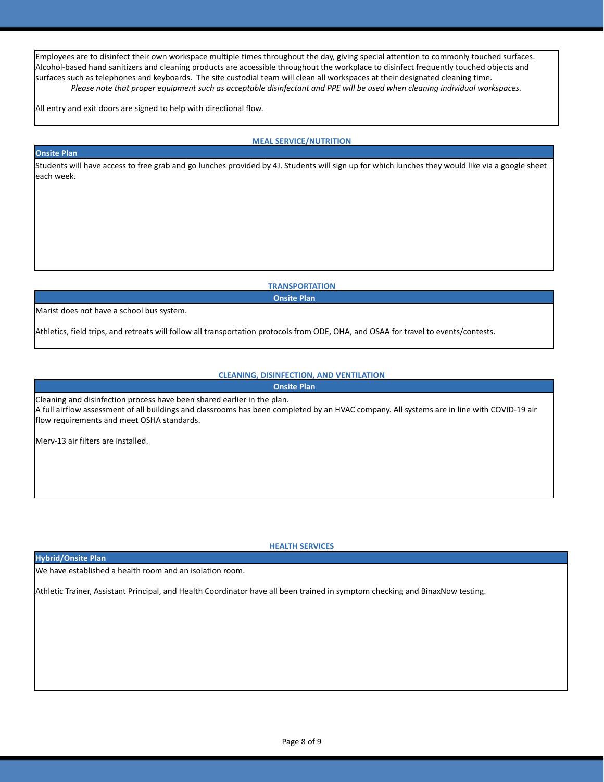Employees are to disinfect their own workspace multiple times throughout the day, giving special attention to commonly touched surfaces. Alcohol-based hand sanitizers and cleaning products are accessible throughout the workplace to disinfect frequently touched objects and surfaces such as telephones and keyboards. The site custodial team will clean all workspaces at their designated cleaning time. *Please note that proper equipment such as acceptable disinfectant and PPE will be used when cleaning individual workspaces.*

All entry and exit doors are signed to help with directional flow.

#### **MEAL SERVICE/NUTRITION**

#### **Onsite Plan**

Students will have access to free grab and go lunches provided by 4J. Students will sign up for which lunches they would like via a google sheet each week.

> **TRANSPORTATION Onsite Plan**

Marist does not have a school bus system.

Athletics, field trips, and retreats will follow all transportation protocols from ODE, OHA, and OSAA for travel to events/contests.

### **CLEANING, DISINFECTION, AND VENTILATION**

**Onsite Plan**

Cleaning and disinfection process have been shared earlier in the plan. A full airflow assessment of all buildings and classrooms has been completed by an HVAC company. All systems are in line with COVID-19 air flow requirements and meet OSHA standards.

Merv-13 air filters are installed.

**HEALTH SERVICES**

#### **Hybrid/Onsite Plan**

We have established a health room and an isolation room.

Athletic Trainer, Assistant Principal, and Health Coordinator have all been trained in symptom checking and BinaxNow testing.